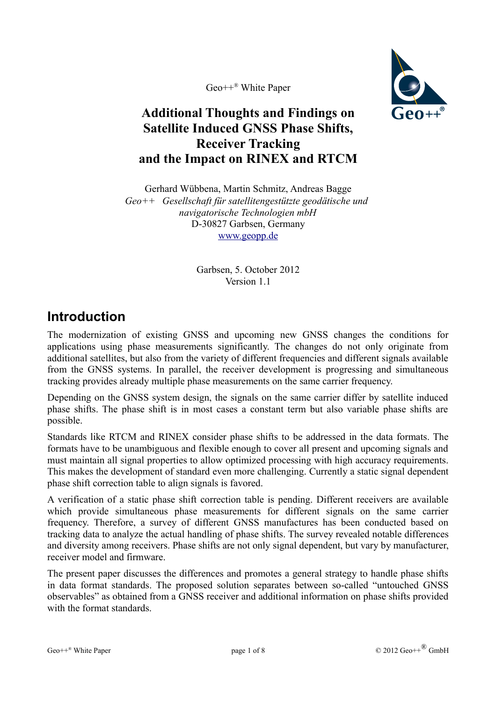Geo++® White Paper



#### **Additional Thoughts and Findings on Satellite Induced GNSS Phase Shifts, Receiver Tracking and the Impact on RINEX and RTCM**

Gerhard Wübbena, Martin Schmitz, Andreas Bagge *Geo++ Gesellschaft für satellitengestützte geodätische und navigatorische Technologien mbH* D-30827 Garbsen, Germany [www.geopp.de](http://www.geopp.de/)

> Garbsen, 5. October 2012 Version 1.1

## **Introduction**

The modernization of existing GNSS and upcoming new GNSS changes the conditions for applications using phase measurements significantly. The changes do not only originate from additional satellites, but also from the variety of different frequencies and different signals available from the GNSS systems. In parallel, the receiver development is progressing and simultaneous tracking provides already multiple phase measurements on the same carrier frequency.

Depending on the GNSS system design, the signals on the same carrier differ by satellite induced phase shifts. The phase shift is in most cases a constant term but also variable phase shifts are possible.

Standards like RTCM and RINEX consider phase shifts to be addressed in the data formats. The formats have to be unambiguous and flexible enough to cover all present and upcoming signals and must maintain all signal properties to allow optimized processing with high accuracy requirements. This makes the development of standard even more challenging. Currently a static signal dependent phase shift correction table to align signals is favored.

A verification of a static phase shift correction table is pending. Different receivers are available which provide simultaneous phase measurements for different signals on the same carrier frequency. Therefore, a survey of different GNSS manufactures has been conducted based on tracking data to analyze the actual handling of phase shifts. The survey revealed notable differences and diversity among receivers. Phase shifts are not only signal dependent, but vary by manufacturer, receiver model and firmware.

The present paper discusses the differences and promotes a general strategy to handle phase shifts in data format standards. The proposed solution separates between so-called "untouched GNSS observables" as obtained from a GNSS receiver and additional information on phase shifts provided with the format standards.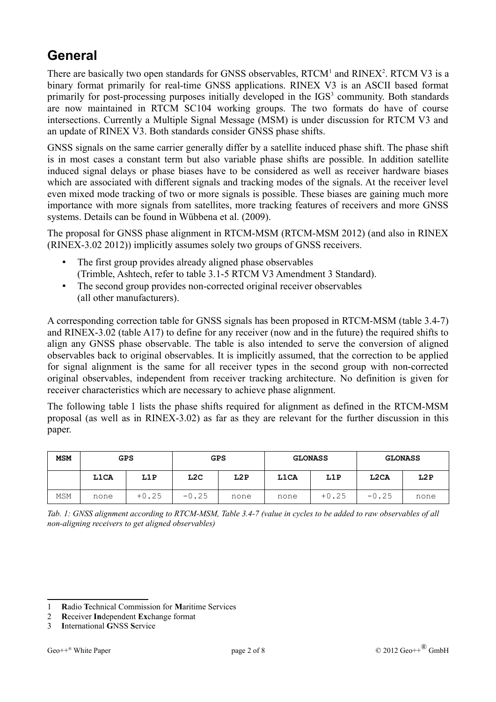# **General**

There are basically two open standards for GNSS observables,  $RTCM<sup>1</sup>$  $RTCM<sup>1</sup>$  $RTCM<sup>1</sup>$  and  $RINEX<sup>2</sup>$  $RINEX<sup>2</sup>$  $RINEX<sup>2</sup>$ . RTCM V3 is a binary format primarily for real-time GNSS applications. RINEX V3 is an ASCII based format primarily for post-processing purposes initially developed in the IGS<sup>[3](#page-1-3)</sup> community. Both standards are now maintained in RTCM SC104 working groups. The two formats do have of course intersections. Currently a Multiple Signal Message (MSM) is under discussion for RTCM V3 and an update of RINEX V3. Both standards consider GNSS phase shifts.

GNSS signals on the same carrier generally differ by a satellite induced phase shift. The phase shift is in most cases a constant term but also variable phase shifts are possible. In addition satellite induced signal delays or phase biases have to be considered as well as receiver hardware biases which are associated with different signals and tracking modes of the signals. At the receiver level even mixed mode tracking of two or more signals is possible. These biases are gaining much more importance with more signals from satellites, more tracking features of receivers and more GNSS systems. Details can be found in Wübbena et al. (2009).

The proposal for GNSS phase alignment in RTCM-MSM (RTCM-MSM 2012) (and also in RINEX (RINEX-3.02 2012)) implicitly assumes solely two groups of GNSS receivers.

- The first group provides already aligned phase observables (Trimble, Ashtech, refer to table 3.1-5 RTCM V3 Amendment 3 Standard).
- The second group provides non-corrected original receiver observables (all other manufacturers).

A corresponding correction table for GNSS signals has been proposed in RTCM-MSM (table 3.4-7) and RINEX-3.02 (table A17) to define for any receiver (now and in the future) the required shifts to align any GNSS phase observable. The table is also intended to serve the conversion of aligned observables back to original observables. It is implicitly assumed, that the correction to be applied for signal alignment is the same for all receiver types in the second group with non-corrected original observables, independent from receiver tracking architecture. No definition is given for receiver characteristics which are necessary to achieve phase alignment.

The following table [1](#page-1-0) lists the phase shifts required for alignment as defined in the RTCM-MSM proposal (as well as in RINEX-3.02) as far as they are relevant for the further discussion in this paper.

| <b>MSM</b> | <b>GPS</b> |         | <b>GPS</b> |      | <b>GLONASS</b> |         | <b>GLONASS</b>    |      |
|------------|------------|---------|------------|------|----------------|---------|-------------------|------|
|            | L1CA       | L1P     | L2C        | L2P  | <b>L1CA</b>    | L1P     | L <sub>2</sub> CA | L2P  |
| <b>MSM</b> | none       | $+0.25$ | $-0.25$    | none | none           | $+0.25$ | $-0.25$           | none |

<span id="page-1-0"></span>*Tab. 1: GNSS alignment according to RTCM-MSM, Table 3.4-7 (value in cycles to be added to raw observables of all non-aligning receivers to get aligned observables)*

<span id="page-1-1"></span><sup>1</sup> **R**adio **T**echnical Commission for **M**aritime Services

<span id="page-1-2"></span><sup>2</sup> **R**eceiver **In**dependent **Ex**change format

<span id="page-1-3"></span><sup>3</sup> **I**nternational **G**NSS **S**ervice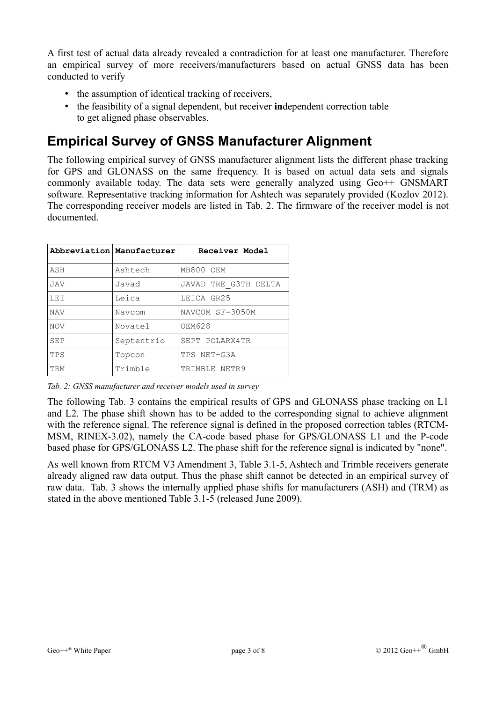A first test of actual data already revealed a contradiction for at least one manufacturer. Therefore an empirical survey of more receivers/manufacturers based on actual GNSS data has been conducted to verify

- the assumption of identical tracking of receivers,
- the feasibility of a signal dependent, but receiver **in**dependent correction table to get aligned phase observables.

## **Empirical Survey of GNSS Manufacturer Alignment**

The following empirical survey of GNSS manufacturer alignment lists the different phase tracking for GPS and GLONASS on the same frequency. It is based on actual data sets and signals commonly available today. The data sets were generally analyzed using Geo++ GNSMART software. Representative tracking information for Ashtech was separately provided (Kozlov 2012). The corresponding receiver models are listed in [Tab. 2.](#page-2-0) The firmware of the receiver model is not documented.

|            | Abbreviation Manufacturer | Receiver Model       |
|------------|---------------------------|----------------------|
| ASH        | Ashtech                   | MB800 OEM            |
| <b>JAV</b> | Javad                     | JAVAD TRE G3TH DELTA |
| LEI        | Leica                     | LEICA GR25           |
| <b>NAV</b> | Navcom                    | NAVCOM SF-3050M      |
| <b>NOV</b> | Novatel                   | OEM628               |
| SEP        | Septentrio                | SEPT POLARX4TR       |
| TPS        | Topcon                    | TPS NET-G3A          |
| TRM        | Trimble                   | TRIMBLE NETR9        |

<span id="page-2-0"></span>*Tab. 2: GNSS manufacturer and receiver models used in survey*

The following [Tab. 3](#page-3-0) contains the empirical results of GPS and GLONASS phase tracking on L1 and L2. The phase shift shown has to be added to the corresponding signal to achieve alignment with the reference signal. The reference signal is defined in the proposed correction tables (RTCM-MSM, RINEX-3.02), namely the CA-code based phase for GPS/GLONASS L1 and the P-code based phase for GPS/GLONASS L2. The phase shift for the reference signal is indicated by "none".

As well known from RTCM V3 Amendment 3, Table 3.1-5, Ashtech and Trimble receivers generate already aligned raw data output. Thus the phase shift cannot be detected in an empirical survey of raw data. [Tab. 3](#page-3-0) shows the internally applied phase shifts for manufacturers (ASH) and (TRM) as stated in the above mentioned Table 3.1-5 (released June 2009).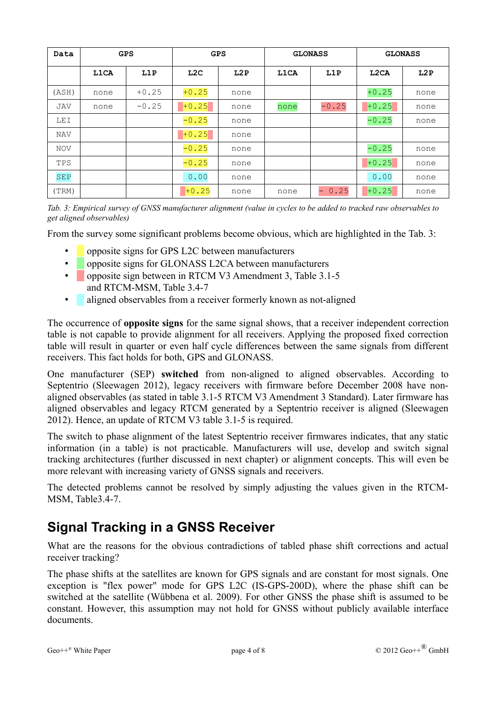| Data       | <b>GPS</b> |         | <b>GPS</b> |      | <b>GLONASS</b> |             | <b>GLONASS</b>    |      |
|------------|------------|---------|------------|------|----------------|-------------|-------------------|------|
|            | L1CA       | L1P     | L2C        | L2P  | L1CA           | L1P         | L <sub>2</sub> CA | L2P  |
| (ASH)      | none       | $+0.25$ | $+0.25$    | none |                |             | $+0.25$           | none |
| JAV        | none       | $-0.25$ | $+0.25$    | none | none           | $-0.25$     | $+0.25$           | none |
| <b>LEI</b> |            |         | $-0.25$    | none |                |             | $-0.25$           | none |
| NAV        |            |         | $+0.25$    | none |                |             |                   |      |
| <b>NOV</b> |            |         | $-0.25$    | none |                |             | $-0.25$           | none |
| TPS        |            |         | $-0.25$    | none |                |             | $+0.25$           | none |
| <b>SEP</b> |            |         | 0.00       | none |                |             | 0.00              | none |
| (TRM)      |            |         | $+0.25$    | none | none           | 0.25<br>$-$ | $+0.25$           | none |

<span id="page-3-0"></span>*Tab. 3: Empirical survey of GNSS manufacturer alignment (value in cycles to be added to tracked raw observables to get aligned observables)*

From the survey some significant problems become obvious, which are highlighted in the [Tab. 3:](#page-3-0)

- opposite signs for GPS L2C between manufacturers
- opposite signs for GLONASS L2CA between manufacturers
- opposite sign between in RTCM V3 Amendment 3, Table 3.1-5 and RTCM-MSM, Table 3.4-7
- aligned observables from a receiver formerly known as not-aligned

The occurrence of **opposite signs** for the same signal shows, that a receiver independent correction table is not capable to provide alignment for all receivers. Applying the proposed fixed correction table will result in quarter or even half cycle differences between the same signals from different receivers. This fact holds for both, GPS and GLONASS.

One manufacturer (SEP) **switched** from non-aligned to aligned observables. According to Septentrio (Sleewagen 2012), legacy receivers with firmware before December 2008 have nonaligned observables (as stated in table 3.1-5 RTCM V3 Amendment 3 Standard). Later firmware has aligned observables and legacy RTCM generated by a Septentrio receiver is aligned (Sleewagen 2012). Hence, an update of RTCM V3 table 3.1-5 is required.

The switch to phase alignment of the latest Septentrio receiver firmwares indicates, that any static information (in a table) is not practicable. Manufacturers will use, develop and switch signal tracking architectures (further discussed in next chapter) or alignment concepts. This will even be more relevant with increasing variety of GNSS signals and receivers.

The detected problems cannot be resolved by simply adjusting the values given in the RTCM-MSM, Table3.4-7.

### **Signal Tracking in a GNSS Receiver**

What are the reasons for the obvious contradictions of tabled phase shift corrections and actual receiver tracking?

The phase shifts at the satellites are known for GPS signals and are constant for most signals. One exception is "flex power" mode for GPS L2C (IS-GPS-200D), where the phase shift can be switched at the satellite (Wübbena et al. 2009). For other GNSS the phase shift is assumed to be constant. However, this assumption may not hold for GNSS without publicly available interface documents.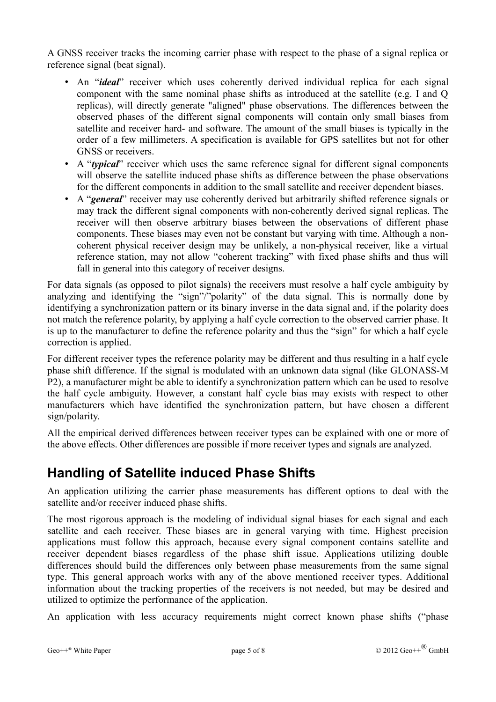A GNSS receiver tracks the incoming carrier phase with respect to the phase of a signal replica or reference signal (beat signal).

- An "*ideal*" receiver which uses coherently derived individual replica for each signal component with the same nominal phase shifts as introduced at the satellite (e.g. I and Q replicas), will directly generate "aligned" phase observations. The differences between the observed phases of the different signal components will contain only small biases from satellite and receiver hard- and software. The amount of the small biases is typically in the order of a few millimeters. A specification is available for GPS satellites but not for other GNSS or receivers.
- A "*typical*" receiver which uses the same reference signal for different signal components will observe the satellite induced phase shifts as difference between the phase observations for the different components in addition to the small satellite and receiver dependent biases.
- A "*general*" receiver may use coherently derived but arbitrarily shifted reference signals or may track the different signal components with non-coherently derived signal replicas. The receiver will then observe arbitrary biases between the observations of different phase components. These biases may even not be constant but varying with time. Although a noncoherent physical receiver design may be unlikely, a non-physical receiver, like a virtual reference station, may not allow "coherent tracking" with fixed phase shifts and thus will fall in general into this category of receiver designs.

For data signals (as opposed to pilot signals) the receivers must resolve a half cycle ambiguity by analyzing and identifying the "sign"/"polarity" of the data signal. This is normally done by identifying a synchronization pattern or its binary inverse in the data signal and, if the polarity does not match the reference polarity, by applying a half cycle correction to the observed carrier phase. It is up to the manufacturer to define the reference polarity and thus the "sign" for which a half cycle correction is applied.

For different receiver types the reference polarity may be different and thus resulting in a half cycle phase shift difference. If the signal is modulated with an unknown data signal (like GLONASS-M P2), a manufacturer might be able to identify a synchronization pattern which can be used to resolve the half cycle ambiguity. However, a constant half cycle bias may exists with respect to other manufacturers which have identified the synchronization pattern, but have chosen a different sign/polarity.

All the empirical derived differences between receiver types can be explained with one or more of the above effects. Other differences are possible if more receiver types and signals are analyzed.

### **Handling of Satellite induced Phase Shifts**

An application utilizing the carrier phase measurements has different options to deal with the satellite and/or receiver induced phase shifts.

The most rigorous approach is the modeling of individual signal biases for each signal and each satellite and each receiver. These biases are in general varying with time. Highest precision applications must follow this approach, because every signal component contains satellite and receiver dependent biases regardless of the phase shift issue. Applications utilizing double differences should build the differences only between phase measurements from the same signal type. This general approach works with any of the above mentioned receiver types. Additional information about the tracking properties of the receivers is not needed, but may be desired and utilized to optimize the performance of the application.

An application with less accuracy requirements might correct known phase shifts ("phase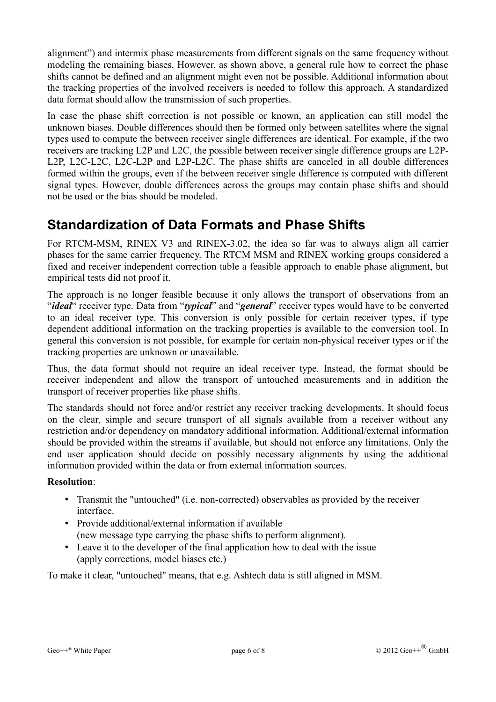alignment") and intermix phase measurements from different signals on the same frequency without modeling the remaining biases. However, as shown above, a general rule how to correct the phase shifts cannot be defined and an alignment might even not be possible. Additional information about the tracking properties of the involved receivers is needed to follow this approach. A standardized data format should allow the transmission of such properties.

In case the phase shift correction is not possible or known, an application can still model the unknown biases. Double differences should then be formed only between satellites where the signal types used to compute the between receiver single differences are identical. For example, if the two receivers are tracking L2P and L2C, the possible between receiver single difference groups are L2P-L2P, L2C-L2C, L2C-L2P and L2P-L2C. The phase shifts are canceled in all double differences formed within the groups, even if the between receiver single difference is computed with different signal types. However, double differences across the groups may contain phase shifts and should not be used or the bias should be modeled.

### **Standardization of Data Formats and Phase Shifts**

For RTCM-MSM, RINEX V3 and RINEX-3.02, the idea so far was to always align all carrier phases for the same carrier frequency. The RTCM MSM and RINEX working groups considered a fixed and receiver independent correction table a feasible approach to enable phase alignment, but empirical tests did not proof it.

The approach is no longer feasible because it only allows the transport of observations from an "*ideal*" receiver type. Data from "*typical*" and "*general*" receiver types would have to be converted to an ideal receiver type. This conversion is only possible for certain receiver types, if type dependent additional information on the tracking properties is available to the conversion tool. In general this conversion is not possible, for example for certain non-physical receiver types or if the tracking properties are unknown or unavailable.

Thus, the data format should not require an ideal receiver type. Instead, the format should be receiver independent and allow the transport of untouched measurements and in addition the transport of receiver properties like phase shifts.

The standards should not force and/or restrict any receiver tracking developments. It should focus on the clear, simple and secure transport of all signals available from a receiver without any restriction and/or dependency on mandatory additional information. Additional/external information should be provided within the streams if available, but should not enforce any limitations. Only the end user application should decide on possibly necessary alignments by using the additional information provided within the data or from external information sources.

#### **Resolution**:

- Transmit the "untouched" (i.e. non-corrected) observables as provided by the receiver interface.
- Provide additional/external information if available (new message type carrying the phase shifts to perform alignment).
- Leave it to the developer of the final application how to deal with the issue (apply corrections, model biases etc.)

To make it clear, "untouched" means, that e.g. Ashtech data is still aligned in MSM.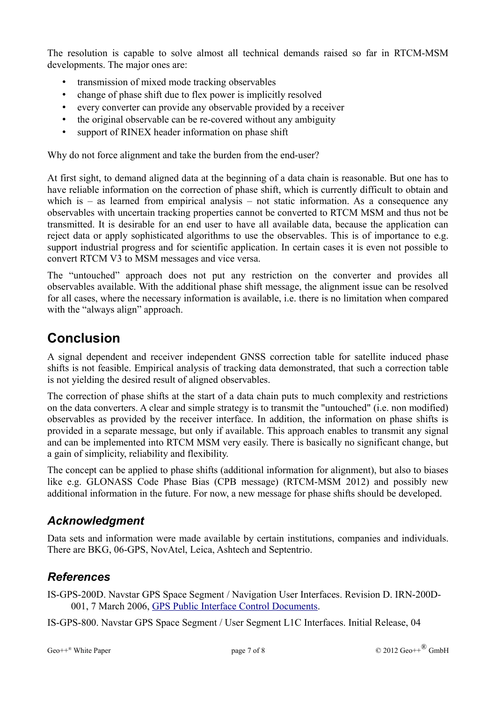The resolution is capable to solve almost all technical demands raised so far in RTCM-MSM developments. The major ones are:

- transmission of mixed mode tracking observables
- change of phase shift due to flex power is implicitly resolved
- every converter can provide any observable provided by a receiver
- the original observable can be re-covered without any ambiguity
- support of RINEX header information on phase shift

Why do not force alignment and take the burden from the end-user?

At first sight, to demand aligned data at the beginning of a data chain is reasonable. But one has to have reliable information on the correction of phase shift, which is currently difficult to obtain and which is  $-$  as learned from empirical analysis  $-$  not static information. As a consequence any observables with uncertain tracking properties cannot be converted to RTCM MSM and thus not be transmitted. It is desirable for an end user to have all available data, because the application can reject data or apply sophisticated algorithms to use the observables. This is of importance to e.g. support industrial progress and for scientific application. In certain cases it is even not possible to convert RTCM V3 to MSM messages and vice versa.

The "untouched" approach does not put any restriction on the converter and provides all observables available. With the additional phase shift message, the alignment issue can be resolved for all cases, where the necessary information is available, i.e. there is no limitation when compared with the "always align" approach.

#### **Conclusion**

A signal dependent and receiver independent GNSS correction table for satellite induced phase shifts is not feasible. Empirical analysis of tracking data demonstrated, that such a correction table is not yielding the desired result of aligned observables.

The correction of phase shifts at the start of a data chain puts to much complexity and restrictions on the data converters. A clear and simple strategy is to transmit the "untouched" (i.e. non modified) observables as provided by the receiver interface. In addition, the information on phase shifts is provided in a separate message, but only if available. This approach enables to transmit any signal and can be implemented into RTCM MSM very easily. There is basically no significant change, but a gain of simplicity, reliability and flexibility.

The concept can be applied to phase shifts (additional information for alignment), but also to biases like e.g. GLONASS Code Phase Bias (CPB message) (RTCM-MSM 2012) and possibly new additional information in the future. For now, a new message for phase shifts should be developed.

#### *Acknowledgment*

Data sets and information were made available by certain institutions, companies and individuals. There are BKG, 06-GPS, NovAtel, Leica, Ashtech and Septentrio.

#### *References*

IS-GPS-200D. Navstar GPS Space Segment / Navigation User Interfaces. Revision D. IRN-200D-001, 7 March 2006, [GPS Public Interface Control Documents.](http://www.losangeles.af.mil/library/factsheets/factsheet.asp?id=9364)

IS-GPS-800. Navstar GPS Space Segment / User Segment L1C Interfaces. Initial Release, 04